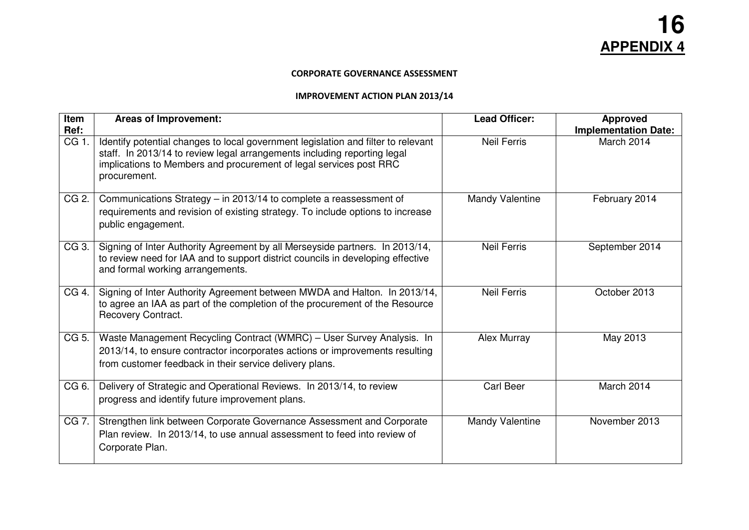## CORPORATE GOVERNANCE ASSESSMENT

## IMPROVEMENT ACTION PLAN 2013/14

| Item<br>Ref: | <b>Areas of Improvement:</b>                                                                                                                                                                                                                        | <b>Lead Officer:</b>   | <b>Approved</b><br><b>Implementation Date:</b> |
|--------------|-----------------------------------------------------------------------------------------------------------------------------------------------------------------------------------------------------------------------------------------------------|------------------------|------------------------------------------------|
| CG 1.        | Identify potential changes to local government legislation and filter to relevant<br>staff. In 2013/14 to review legal arrangements including reporting legal<br>implications to Members and procurement of legal services post RRC<br>procurement. | <b>Neil Ferris</b>     | March 2014                                     |
| CG 2.        | Communications Strategy - in 2013/14 to complete a reassessment of<br>requirements and revision of existing strategy. To include options to increase<br>public engagement.                                                                          | Mandy Valentine        | February 2014                                  |
| CG 3.        | Signing of Inter Authority Agreement by all Merseyside partners. In 2013/14,<br>to review need for IAA and to support district councils in developing effective<br>and formal working arrangements.                                                 | <b>Neil Ferris</b>     | September 2014                                 |
| CG 4.        | Signing of Inter Authority Agreement between MWDA and Halton. In 2013/14,<br>to agree an IAA as part of the completion of the procurement of the Resource<br>Recovery Contract.                                                                     | <b>Neil Ferris</b>     | October 2013                                   |
| CG 5.        | Waste Management Recycling Contract (WMRC) - User Survey Analysis. In<br>2013/14, to ensure contractor incorporates actions or improvements resulting<br>from customer feedback in their service delivery plans.                                    | Alex Murray            | May 2013                                       |
| CG 6.        | Delivery of Strategic and Operational Reviews. In 2013/14, to review<br>progress and identify future improvement plans.                                                                                                                             | <b>Carl Beer</b>       | March 2014                                     |
| CG 7.        | Strengthen link between Corporate Governance Assessment and Corporate<br>Plan review. In 2013/14, to use annual assessment to feed into review of<br>Corporate Plan.                                                                                | <b>Mandy Valentine</b> | November 2013                                  |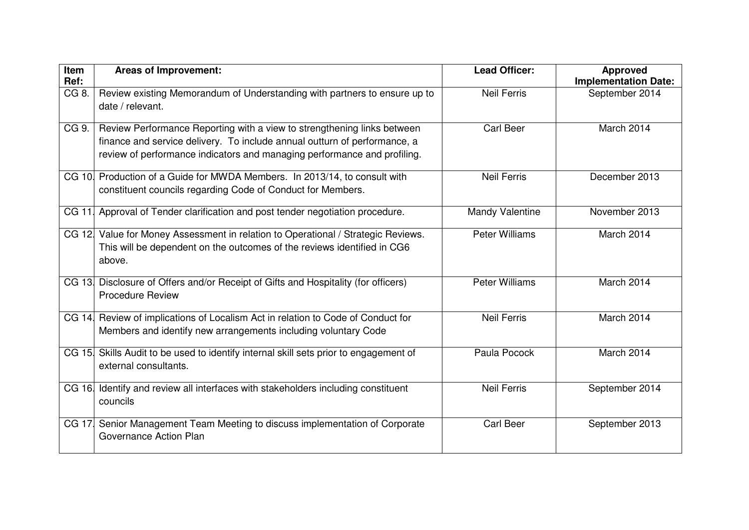| Item          | <b>Areas of Improvement:</b>                                                                                                                                                                                                     | <b>Lead Officer:</b>  | <b>Approved</b>                               |
|---------------|----------------------------------------------------------------------------------------------------------------------------------------------------------------------------------------------------------------------------------|-----------------------|-----------------------------------------------|
| Ref:<br>CG 8. | Review existing Memorandum of Understanding with partners to ensure up to                                                                                                                                                        | <b>Neil Ferris</b>    | <b>Implementation Date:</b><br>September 2014 |
|               | date / relevant.                                                                                                                                                                                                                 |                       |                                               |
| CG 9.         | Review Performance Reporting with a view to strengthening links between<br>finance and service delivery. To include annual outturn of performance, a<br>review of performance indicators and managing performance and profiling. | <b>Carl Beer</b>      | March 2014                                    |
|               | CG 10. Production of a Guide for MWDA Members. In 2013/14, to consult with<br>constituent councils regarding Code of Conduct for Members.                                                                                        | <b>Neil Ferris</b>    | December 2013                                 |
| CG 11.        | Approval of Tender clarification and post tender negotiation procedure.                                                                                                                                                          | Mandy Valentine       | November 2013                                 |
|               | CG 12 Value for Money Assessment in relation to Operational / Strategic Reviews.<br>This will be dependent on the outcomes of the reviews identified in CG6<br>above.                                                            | Peter Williams        | March 2014                                    |
|               | CG 13. Disclosure of Offers and/or Receipt of Gifts and Hospitality (for officers)<br><b>Procedure Review</b>                                                                                                                    | <b>Peter Williams</b> | March 2014                                    |
| CG 14.        | Review of implications of Localism Act in relation to Code of Conduct for<br>Members and identify new arrangements including voluntary Code                                                                                      | <b>Neil Ferris</b>    | March 2014                                    |
|               | CG 15. Skills Audit to be used to identify internal skill sets prior to engagement of<br>external consultants.                                                                                                                   | Paula Pocock          | March 2014                                    |
| CG 16.        | Identify and review all interfaces with stakeholders including constituent<br>councils                                                                                                                                           | <b>Neil Ferris</b>    | September 2014                                |
| CG 17         | Senior Management Team Meeting to discuss implementation of Corporate<br>Governance Action Plan                                                                                                                                  | <b>Carl Beer</b>      | September 2013                                |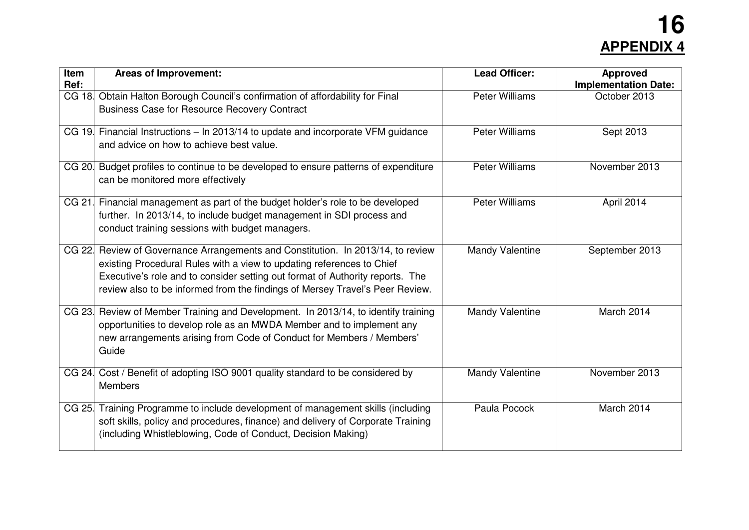## **16 APPENDIX 4**

| <b>Item</b><br>Ref: | <b>Areas of Improvement:</b>                                                                                                                                                                                                                                                                                              | <b>Lead Officer:</b>   | <b>Approved</b><br><b>Implementation Date:</b> |
|---------------------|---------------------------------------------------------------------------------------------------------------------------------------------------------------------------------------------------------------------------------------------------------------------------------------------------------------------------|------------------------|------------------------------------------------|
|                     | CG 18 Obtain Halton Borough Council's confirmation of affordability for Final<br><b>Business Case for Resource Recovery Contract</b>                                                                                                                                                                                      | <b>Peter Williams</b>  | October 2013                                   |
|                     | CG 19 Financial Instructions - In 2013/14 to update and incorporate VFM guidance<br>and advice on how to achieve best value.                                                                                                                                                                                              | <b>Peter Williams</b>  | Sept 2013                                      |
|                     | CG 20. Budget profiles to continue to be developed to ensure patterns of expenditure<br>can be monitored more effectively                                                                                                                                                                                                 | <b>Peter Williams</b>  | November 2013                                  |
|                     | CG 21. Financial management as part of the budget holder's role to be developed<br>further. In 2013/14, to include budget management in SDI process and<br>conduct training sessions with budget managers.                                                                                                                | <b>Peter Williams</b>  | April 2014                                     |
|                     | CG 22 Review of Governance Arrangements and Constitution. In 2013/14, to review<br>existing Procedural Rules with a view to updating references to Chief<br>Executive's role and to consider setting out format of Authority reports. The<br>review also to be informed from the findings of Mersey Travel's Peer Review. | <b>Mandy Valentine</b> | September 2013                                 |
|                     | CG 23. Review of Member Training and Development. In 2013/14, to identify training<br>opportunities to develop role as an MWDA Member and to implement any<br>new arrangements arising from Code of Conduct for Members / Members'<br>Guide                                                                               | <b>Mandy Valentine</b> | March 2014                                     |
|                     | CG 24. Cost / Benefit of adopting ISO 9001 quality standard to be considered by<br><b>Members</b>                                                                                                                                                                                                                         | <b>Mandy Valentine</b> | November 2013                                  |
|                     | CG 25. Training Programme to include development of management skills (including<br>soft skills, policy and procedures, finance) and delivery of Corporate Training<br>(including Whistleblowing, Code of Conduct, Decision Making)                                                                                       | Paula Pocock           | March 2014                                     |